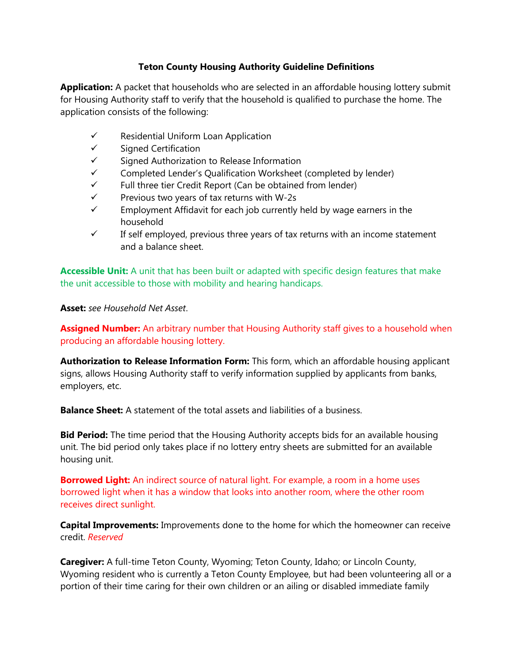# **Teton County Housing Authority Guideline Definitions**

**Application:** A packet that households who are selected in an affordable housing lottery submit for Housing Authority staff to verify that the household is qualified to purchase the home. The application consists of the following:

- $\checkmark$  Residential Uniform Loan Application
- $\checkmark$  Signed Certification
- $\checkmark$  Signed Authorization to Release Information
- $\checkmark$  Completed Lender's Qualification Worksheet (completed by lender)
- $\checkmark$  Full three tier Credit Report (Can be obtained from lender)
- $\checkmark$  Previous two years of tax returns with W-2s
- $\checkmark$  Employment Affidavit for each job currently held by wage earners in the household
- $\checkmark$  If self employed, previous three years of tax returns with an income statement and a balance sheet.

**Accessible Unit:** A unit that has been built or adapted with specific design features that make the unit accessible to those with mobility and hearing handicaps.

# **Asset:** *see Household Net Asset*.

**Assigned Number:** An arbitrary number that Housing Authority staff gives to a household when producing an affordable housing lottery.

**Authorization to Release Information Form:** This form, which an affordable housing applicant signs, allows Housing Authority staff to verify information supplied by applicants from banks, employers, etc.

**Balance Sheet:** A statement of the total assets and liabilities of a business.

**Bid Period:** The time period that the Housing Authority accepts bids for an available housing unit. The bid period only takes place if no lottery entry sheets are submitted for an available housing unit.

**Borrowed Light:** An indirect source of natural light. For example, a room in a home uses borrowed light when it has a window that looks into another room, where the other room receives direct sunlight.

**Capital Improvements:** Improvements done to the home for which the homeowner can receive credit. *Reserved*

**Caregiver:** A full-time Teton County, Wyoming; Teton County, Idaho; or Lincoln County, Wyoming resident who is currently a Teton County Employee, but had been volunteering all or a portion of their time caring for their own children or an ailing or disabled immediate family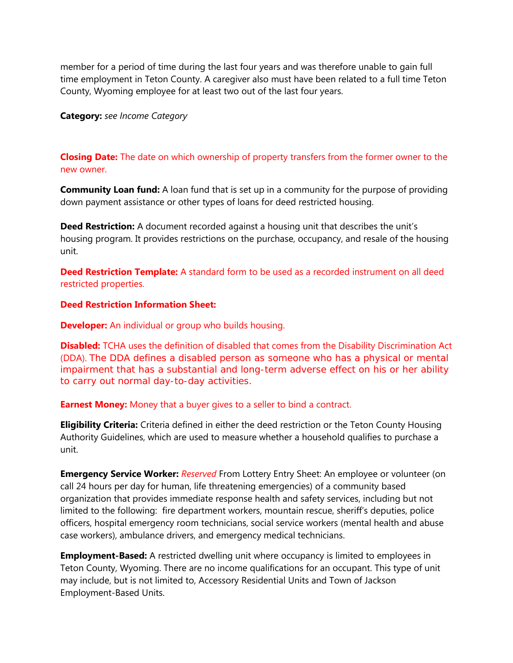member for a period of time during the last four years and was therefore unable to gain full time employment in Teton County. A caregiver also must have been related to a full time Teton County, Wyoming employee for at least two out of the last four years.

### **Category:** *see Income Category*

## **Closing Date:** The date on which ownership of property transfers from the former owner to the new owner.

**Community Loan fund:** A loan fund that is set up in a community for the purpose of providing down payment assistance or other types of loans for deed restricted housing.

**Deed Restriction:** A document recorded against a housing unit that describes the unit's housing program. It provides restrictions on the purchase, occupancy, and resale of the housing unit.

**Deed Restriction Template:** A standard form to be used as a recorded instrument on all deed restricted properties.

## **Deed Restriction Information Sheet:**

**Developer:** An individual or group who builds housing.

**Disabled:** TCHA uses the definition of disabled that comes from the Disability Discrimination Act (DDA). The DDA defines a disabled person as someone who has a physical or mental impairment that has a substantial and long-term adverse effect on his or her ability to carry out normal day-to-day activities.

#### **Earnest Money:** Money that a buyer gives to a seller to bind a contract.

**Eligibility Criteria:** Criteria defined in either the deed restriction or the Teton County Housing Authority Guidelines, which are used to measure whether a household qualifies to purchase a unit.

**Emergency Service Worker:** *Reserved* From Lottery Entry Sheet: An employee or volunteer (on call 24 hours per day for human, life threatening emergencies) of a community based organization that provides immediate response health and safety services, including but not limited to the following: fire department workers, mountain rescue, sheriff's deputies, police officers, hospital emergency room technicians, social service workers (mental health and abuse case workers), ambulance drivers, and emergency medical technicians.

**Employment-Based:** A restricted dwelling unit where occupancy is limited to employees in Teton County, Wyoming. There are no income qualifications for an occupant. This type of unit may include, but is not limited to, Accessory Residential Units and Town of Jackson Employment-Based Units.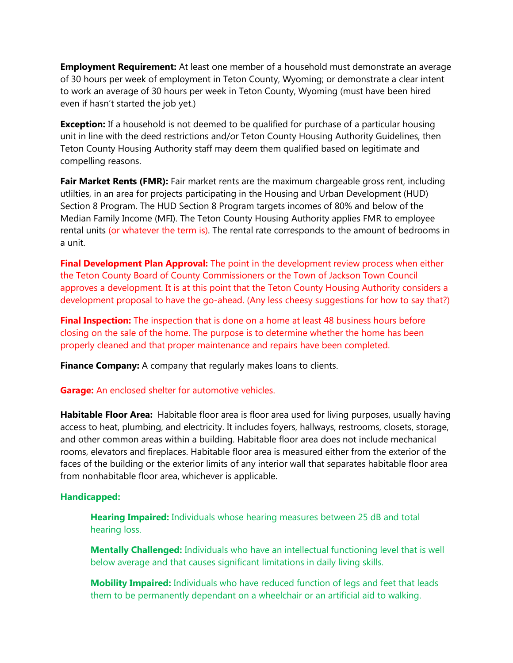**Employment Requirement:** At least one member of a household must demonstrate an average of 30 hours per week of employment in Teton County, Wyoming; or demonstrate a clear intent to work an average of 30 hours per week in Teton County, Wyoming (must have been hired even if hasn't started the job yet.)

**Exception:** If a household is not deemed to be qualified for purchase of a particular housing unit in line with the deed restrictions and/or Teton County Housing Authority Guidelines, then Teton County Housing Authority staff may deem them qualified based on legitimate and compelling reasons.

Fair Market Rents (FMR): Fair market rents are the maximum chargeable gross rent, including utlilties, in an area for projects participating in the Housing and Urban Development (HUD) Section 8 Program. The HUD Section 8 Program targets incomes of 80% and below of the Median Family Income (MFI). The Teton County Housing Authority applies FMR to employee rental units (or whatever the term is). The rental rate corresponds to the amount of bedrooms in a unit.

**Final Development Plan Approval:** The point in the development review process when either the Teton County Board of County Commissioners or the Town of Jackson Town Council approves a development. It is at this point that the Teton County Housing Authority considers a development proposal to have the go-ahead. (Any less cheesy suggestions for how to say that?)

**Final Inspection:** The inspection that is done on a home at least 48 business hours before closing on the sale of the home. The purpose is to determine whether the home has been properly cleaned and that proper maintenance and repairs have been completed.

**Finance Company:** A company that regularly makes loans to clients.

#### **Garage:** An enclosed shelter for automotive vehicles.

**Habitable Floor Area:** Habitable floor area is floor area used for living purposes, usually having access to heat, plumbing, and electricity. It includes foyers, hallways, restrooms, closets, storage, and other common areas within a building. Habitable floor area does not include mechanical rooms, elevators and fireplaces. Habitable floor area is measured either from the exterior of the faces of the building or the exterior limits of any interior wall that separates habitable floor area from nonhabitable floor area, whichever is applicable.

#### **Handicapped:**

**Hearing Impaired:** Individuals whose hearing measures between 25 dB and total hearing loss.

**Mentally Challenged:** Individuals who have an intellectual functioning level that is well below average and that causes significant limitations in daily living skills.

**Mobility Impaired:** Individuals who have reduced function of legs and feet that leads them to be permanently dependant on a wheelchair or an artificial aid to walking.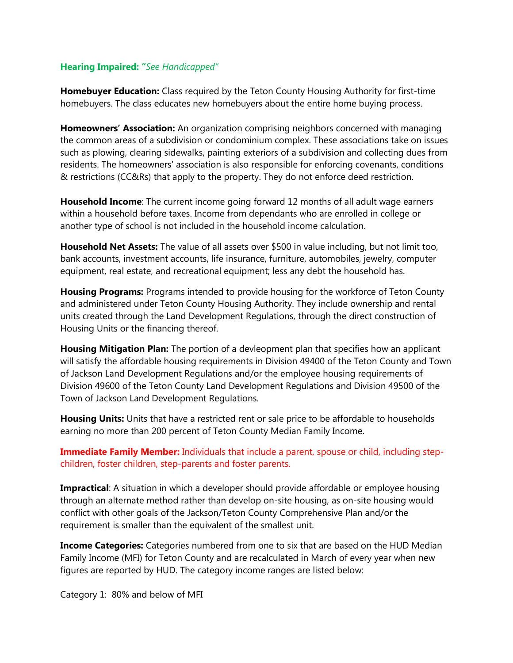## **Hearing Impaired: "***See Handicapped"*

**Homebuyer Education:** Class required by the Teton County Housing Authority for first-time homebuyers. The class educates new homebuyers about the entire home buying process.

**Homeowners' Association:** An organization comprising neighbors concerned with managing the common areas of a subdivision or condominium complex. These associations take on issues such as plowing, clearing sidewalks, painting exteriors of a subdivision and collecting dues from residents. The homeowners' association is also responsible for enforcing covenants, conditions & restrictions (CC&Rs) that apply to the property. They do not enforce deed restriction.

**Household Income**: The current income going forward 12 months of all adult wage earners within a household before taxes. Income from dependants who are enrolled in college or another type of school is not included in the household income calculation.

**Household Net Assets:** The value of all assets over \$500 in value including, but not limit too, bank accounts, investment accounts, life insurance, furniture, automobiles, jewelry, computer equipment, real estate, and recreational equipment; less any debt the household has.

**Housing Programs:** Programs intended to provide housing for the workforce of Teton County and administered under Teton County Housing Authority. They include ownership and rental units created through the Land Development Regulations, through the direct construction of Housing Units or the financing thereof.

**Housing Mitigation Plan:** The portion of a devleopment plan that specifies how an applicant will satisfy the affordable housing requirements in Division 49400 of the Teton County and Town of Jackson Land Development Regulations and/or the employee housing requirements of Division 49600 of the Teton County Land Development Regulations and Division 49500 of the Town of Jackson Land Development Regulations.

**Housing Units:** Units that have a restricted rent or sale price to be affordable to households earning no more than 200 percent of Teton County Median Family Income.

**Immediate Family Member:** Individuals that include a parent, spouse or child, including stepchildren, foster children, step-parents and foster parents.

**Impractical**: A situation in which a developer should provide affordable or employee housing through an alternate method rather than develop on-site housing, as on-site housing would conflict with other goals of the Jackson/Teton County Comprehensive Plan and/or the requirement is smaller than the equivalent of the smallest unit.

**Income Categories:** Categories numbered from one to six that are based on the HUD Median Family Income (MFI) for Teton County and are recalculated in March of every year when new figures are reported by HUD. The category income ranges are listed below:

Category 1: 80% and below of MFI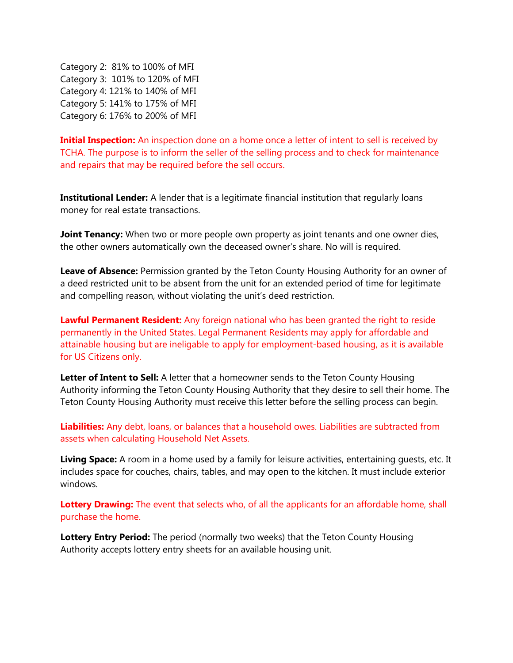Category 2: 81% to 100% of MFI Category 3: 101% to 120% of MFI Category 4: 121% to 140% of MFI Category 5: 141% to 175% of MFI Category 6: 176% to 200% of MFI

**Initial Inspection:** An inspection done on a home once a letter of intent to sell is received by TCHA. The purpose is to inform the seller of the selling process and to check for maintenance and repairs that may be required before the sell occurs.

**Institutional Lender:** A lender that is a legitimate financial institution that regularly loans money for real estate transactions.

**Joint Tenancy:** When two or more people own property as joint tenants and one owner dies, the other owners automatically own the deceased owner's share. No will is required.

Leave of Absence: Permission granted by the Teton County Housing Authority for an owner of a deed restricted unit to be absent from the unit for an extended period of time for legitimate and compelling reason, without violating the unit's deed restriction.

**Lawful Permanent Resident:** Any foreign national who has been granted the right to reside permanently in the United States. Legal Permanent Residents may apply for affordable and attainable housing but are ineligable to apply for employment-based housing, as it is available for US Citizens only.

Letter of Intent to Sell: A letter that a homeowner sends to the Teton County Housing Authority informing the Teton County Housing Authority that they desire to sell their home. The Teton County Housing Authority must receive this letter before the selling process can begin.

**Liabilities:** Any debt, loans, or balances that a household owes. Liabilities are subtracted from assets when calculating Household Net Assets.

**Living Space:** A room in a home used by a family for leisure activities, entertaining guests, etc. It includes space for couches, chairs, tables, and may open to the kitchen. It must include exterior windows.

**Lottery Drawing:** The event that selects who, of all the applicants for an affordable home, shall purchase the home.

**Lottery Entry Period:** The period (normally two weeks) that the Teton County Housing Authority accepts lottery entry sheets for an available housing unit.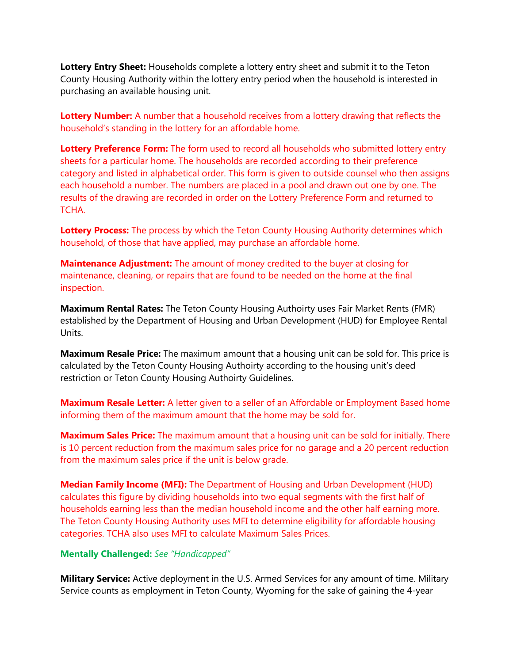**Lottery Entry Sheet:** Households complete a lottery entry sheet and submit it to the Teton County Housing Authority within the lottery entry period when the household is interested in purchasing an available housing unit.

**Lottery Number:** A number that a household receives from a lottery drawing that reflects the household's standing in the lottery for an affordable home.

**Lottery Preference Form:** The form used to record all households who submitted lottery entry sheets for a particular home. The households are recorded according to their preference category and listed in alphabetical order. This form is given to outside counsel who then assigns each household a number. The numbers are placed in a pool and drawn out one by one. The results of the drawing are recorded in order on the Lottery Preference Form and returned to TCHA.

**Lottery Process:** The process by which the Teton County Housing Authority determines which household, of those that have applied, may purchase an affordable home.

**Maintenance Adjustment:** The amount of money credited to the buyer at closing for maintenance, cleaning, or repairs that are found to be needed on the home at the final inspection.

**Maximum Rental Rates:** The Teton County Housing Authoirty uses Fair Market Rents (FMR) established by the Department of Housing and Urban Development (HUD) for Employee Rental Units.

**Maximum Resale Price:** The maximum amount that a housing unit can be sold for. This price is calculated by the Teton County Housing Authoirty according to the housing unit's deed restriction or Teton County Housing Authoirty Guidelines.

**Maximum Resale Letter:** A letter given to a seller of an Affordable or Employment Based home informing them of the maximum amount that the home may be sold for.

**Maximum Sales Price:** The maximum amount that a housing unit can be sold for initially. There is 10 percent reduction from the maximum sales price for no garage and a 20 percent reduction from the maximum sales price if the unit is below grade.

**Median Family Income (MFI):** The Department of Housing and Urban Development (HUD) calculates this figure by dividing households into two equal segments with the first half of households earning less than the median household income and the other half earning more. The Teton County Housing Authority uses MFI to determine eligibility for affordable housing categories. TCHA also uses MFI to calculate Maximum Sales Prices.

## **Mentally Challenged:** *See "Handicapped"*

**Military Service:** Active deployment in the U.S. Armed Services for any amount of time. Military Service counts as employment in Teton County, Wyoming for the sake of gaining the 4-year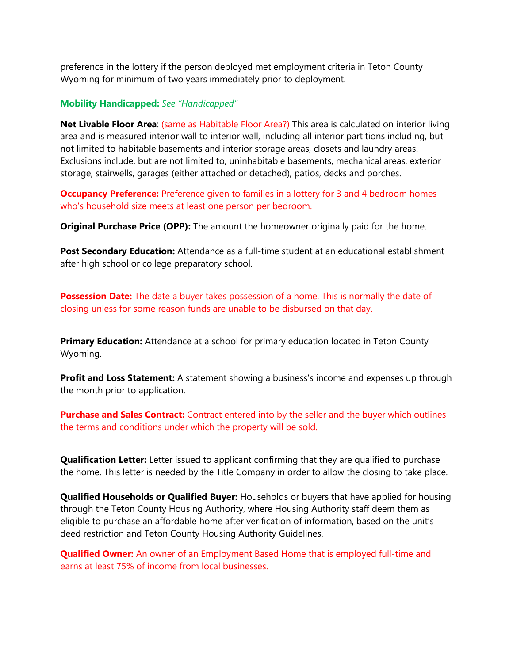preference in the lottery if the person deployed met employment criteria in Teton County Wyoming for minimum of two years immediately prior to deployment.

### **Mobility Handicapped:** *See "Handicapped"*

**Net Livable Floor Area**: (same as Habitable Floor Area?) This area is calculated on interior living area and is measured interior wall to interior wall, including all interior partitions including, but not limited to habitable basements and interior storage areas, closets and laundry areas. Exclusions include, but are not limited to, uninhabitable basements, mechanical areas, exterior storage, stairwells, garages (either attached or detached), patios, decks and porches.

**Occupancy Preference:** Preference given to families in a lottery for 3 and 4 bedroom homes who's household size meets at least one person per bedroom.

**Original Purchase Price (OPP):** The amount the homeowner originally paid for the home.

Post Secondary Education: Attendance as a full-time student at an educational establishment after high school or college preparatory school.

**Possession Date:** The date a buyer takes possession of a home. This is normally the date of closing unless for some reason funds are unable to be disbursed on that day.

**Primary Education:** Attendance at a school for primary education located in Teton County Wyoming.

**Profit and Loss Statement:** A statement showing a business's income and expenses up through the month prior to application.

**Purchase and Sales Contract:** Contract entered into by the seller and the buyer which outlines the terms and conditions under which the property will be sold.

**Qualification Letter:** Letter issued to applicant confirming that they are qualified to purchase the home. This letter is needed by the Title Company in order to allow the closing to take place.

**Qualified Households or Qualified Buyer:** Households or buyers that have applied for housing through the Teton County Housing Authority, where Housing Authority staff deem them as eligible to purchase an affordable home after verification of information, based on the unit's deed restriction and Teton County Housing Authority Guidelines.

**Qualified Owner:** An owner of an Employment Based Home that is employed full-time and earns at least 75% of income from local businesses.